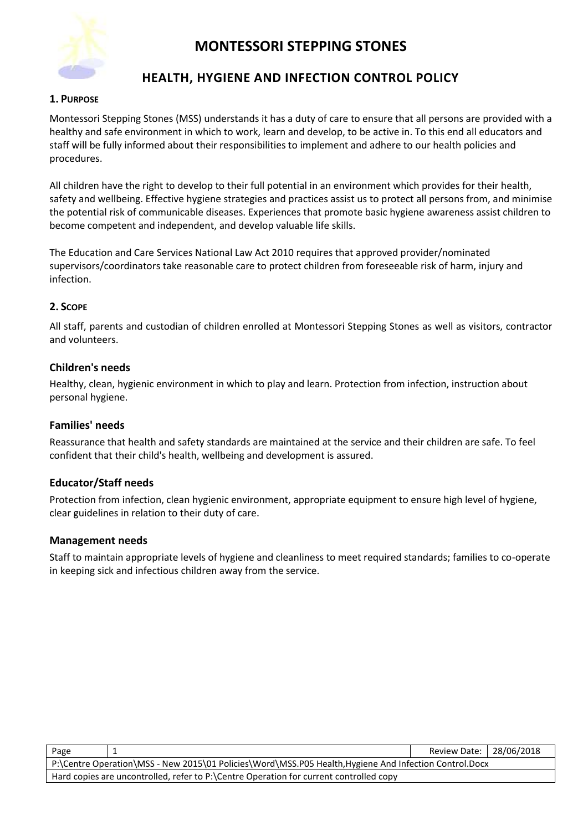

## **HEALTH, HYGIENE AND INFECTION CONTROL POLICY**

#### **1. PURPOSE**

Montessori Stepping Stones (MSS) understands it has a duty of care to ensure that all persons are provided with a healthy and safe environment in which to work, learn and develop, to be active in. To this end all educators and staff will be fully informed about their responsibilities to implement and adhere to our health policies and procedures.

All children have the right to develop to their full potential in an environment which provides for their health, safety and wellbeing. Effective hygiene strategies and practices assist us to protect all persons from, and minimise the potential risk of communicable diseases. Experiences that promote basic hygiene awareness assist children to become competent and independent, and develop valuable life skills.

The Education and Care Services National Law Act 2010 requires that approved provider/nominated supervisors/coordinators take reasonable care to protect children from foreseeable risk of harm, injury and infection.

#### **2. SCOPE**

All staff, parents and custodian of children enrolled at Montessori Stepping Stones as well as visitors, contractor and volunteers.

#### **Children's needs**

Healthy, clean, hygienic environment in which to play and learn. Protection from infection, instruction about personal hygiene.

#### **Families' needs**

Reassurance that health and safety standards are maintained at the service and their children are safe. To feel confident that their child's health, wellbeing and development is assured.

### **Educator/Staff needs**

Protection from infection, clean hygienic environment, appropriate equipment to ensure high level of hygiene, clear guidelines in relation to their duty of care.

#### **Management needs**

Staff to maintain appropriate levels of hygiene and cleanliness to meet required standards; families to co-operate in keeping sick and infectious children away from the service.

| Page                                                                                                   |  | Review Date:   28/06/2018 |  |  |
|--------------------------------------------------------------------------------------------------------|--|---------------------------|--|--|
| P:\Centre Operation\MSS - New 2015\01 Policies\Word\MSS.P05 Health, Hygiene And Infection Control.Docx |  |                           |  |  |
| Hard copies are uncontrolled, refer to P:\Centre Operation for current controlled copy                 |  |                           |  |  |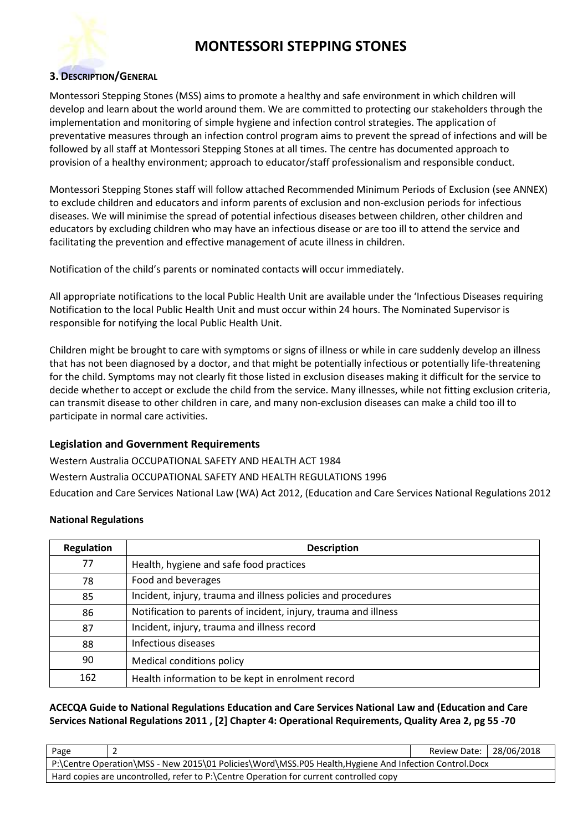

#### **3. DESCRIPTION/GENERAL**

Montessori Stepping Stones (MSS) aims to promote a healthy and safe environment in which children will develop and learn about the world around them. We are committed to protecting our stakeholders through the implementation and monitoring of simple hygiene and infection control strategies. The application of preventative measures through an infection control program aims to prevent the spread of infections and will be followed by all staff at Montessori Stepping Stones at all times. The centre has documented approach to provision of a healthy environment; approach to educator/staff professionalism and responsible conduct.

Montessori Stepping Stones staff will follow attached Recommended Minimum Periods of Exclusion (see ANNEX) to exclude children and educators and inform parents of exclusion and non-exclusion periods for infectious diseases. We will minimise the spread of potential infectious diseases between children, other children and educators by excluding children who may have an infectious disease or are too ill to attend the service and facilitating the prevention and effective management of acute illness in children.

Notification of the child's parents or nominated contacts will occur immediately.

All appropriate notifications to the local Public Health Unit are available under the 'Infectious Diseases requiring Notification to the local Public Health Unit and must occur within 24 hours. The Nominated Supervisor is responsible for notifying the local Public Health Unit.

Children might be brought to care with symptoms or signs of illness or while in care suddenly develop an illness that has not been diagnosed by a doctor, and that might be potentially infectious or potentially life-threatening for the child. Symptoms may not clearly fit those listed in exclusion diseases making it difficult for the service to decide whether to accept or exclude the child from the service. Many illnesses, while not fitting exclusion criteria, can transmit disease to other children in care, and many non-exclusion diseases can make a child too ill to participate in normal care activities.

### **Legislation and Government Requirements**

Western Australia OCCUPATIONAL SAFETY AND HEALTH ACT 1984 Western Australia OCCUPATIONAL SAFETY AND HEALTH REGULATIONS 1996 Education and Care Services National Law (WA) Act 2012, (Education and Care Services National Regulations 2012

#### **National Regulations**

| <b>Regulation</b> | <b>Description</b>                                              |
|-------------------|-----------------------------------------------------------------|
| 77                | Health, hygiene and safe food practices                         |
| 78                | Food and beverages                                              |
| 85                | Incident, injury, trauma and illness policies and procedures    |
| 86                | Notification to parents of incident, injury, trauma and illness |
| 87                | Incident, injury, trauma and illness record                     |
| 88                | Infectious diseases                                             |
| 90                | Medical conditions policy                                       |
| 162               | Health information to be kept in enrolment record               |

### **ACECQA Guide to National Regulations Education and Care Services National Law and (Education and Care Services National Regulations 2011 , [2] Chapter 4: Operational Requirements, Quality Area 2, pg 55 -70**

| Page                                                                                                   |  | Review Date:   28/06/2018 |  |  |
|--------------------------------------------------------------------------------------------------------|--|---------------------------|--|--|
| P:\Centre Operation\MSS - New 2015\01 Policies\Word\MSS.P05 Health, Hygiene And Infection Control.Docx |  |                           |  |  |
| Hard copies are uncontrolled, refer to P:\Centre Operation for current controlled copy                 |  |                           |  |  |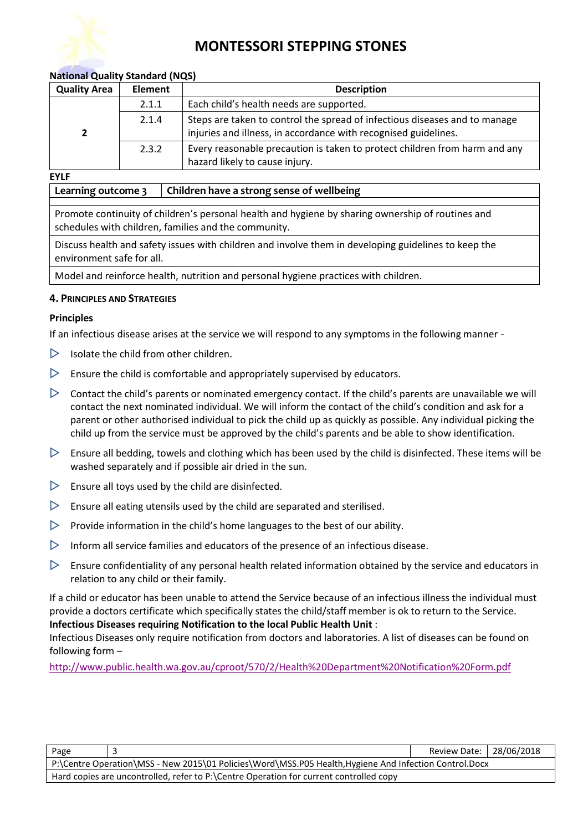#### **National Quality Standard (NQS)**

| <b>Quality Area</b> | <b>Element</b> | <b>Description</b>                                                                                                                            |
|---------------------|----------------|-----------------------------------------------------------------------------------------------------------------------------------------------|
|                     | 2.1.1          | Each child's health needs are supported.                                                                                                      |
|                     | 2.1.4          | Steps are taken to control the spread of infectious diseases and to manage<br>injuries and illness, in accordance with recognised guidelines. |
|                     | 2.3.2          | Every reasonable precaution is taken to protect children from harm and any                                                                    |
|                     |                | hazard likely to cause injury.                                                                                                                |

#### **EYLF**

**Learning outcome 3 Children have a strong sense of wellbeing**

Promote continuity of children's personal health and hygiene by sharing ownership of routines and schedules with children, families and the community.

Discuss health and safety issues with children and involve them in developing guidelines to keep the environment safe for all.

Model and reinforce health, nutrition and personal hygiene practices with children.

#### **4. PRINCIPLES AND STRATEGIES**

#### **Principles**

If an infectious disease arises at the service we will respond to any symptoms in the following manner -

- $\triangleright$  Isolate the child from other children.
- $\triangleright$  Ensure the child is comfortable and appropriately supervised by educators.
- $\triangleright$  Contact the child's parents or nominated emergency contact. If the child's parents are unavailable we will contact the next nominated individual. We will inform the contact of the child's condition and ask for a parent or other authorised individual to pick the child up as quickly as possible. Any individual picking the child up from the service must be approved by the child's parents and be able to show identification.
- $\triangleright$  Ensure all bedding, towels and clothing which has been used by the child is disinfected. These items will be washed separately and if possible air dried in the sun.
- $\triangleright$  Ensure all toys used by the child are disinfected.
- $\triangleright$  Ensure all eating utensils used by the child are separated and sterilised.
- $\triangleright$  Provide information in the child's home languages to the best of our ability.
- $\triangleright$  Inform all service families and educators of the presence of an infectious disease.
- $\triangleright$  Ensure confidentiality of any personal health related information obtained by the service and educators in relation to any child or their family.

If a child or educator has been unable to attend the Service because of an infectious illness the individual must provide a doctors certificate which specifically states the child/staff member is ok to return to the Service. **Infectious Diseases requiring Notification to the local Public Health Unit** :

Infectious Diseases only require notification from doctors and laboratories. A list of diseases can be found on following form –

<http://www.public.health.wa.gov.au/cproot/570/2/Health%20Department%20Notification%20Form.pdf>

| Page                                                                                                   |  | Review Date:   28/06/2018 |  |  |
|--------------------------------------------------------------------------------------------------------|--|---------------------------|--|--|
| P:\Centre Operation\MSS - New 2015\01 Policies\Word\MSS.P05 Health, Hygiene And Infection Control.Docx |  |                           |  |  |
| Hard copies are uncontrolled, refer to P:\Centre Operation for current controlled copy                 |  |                           |  |  |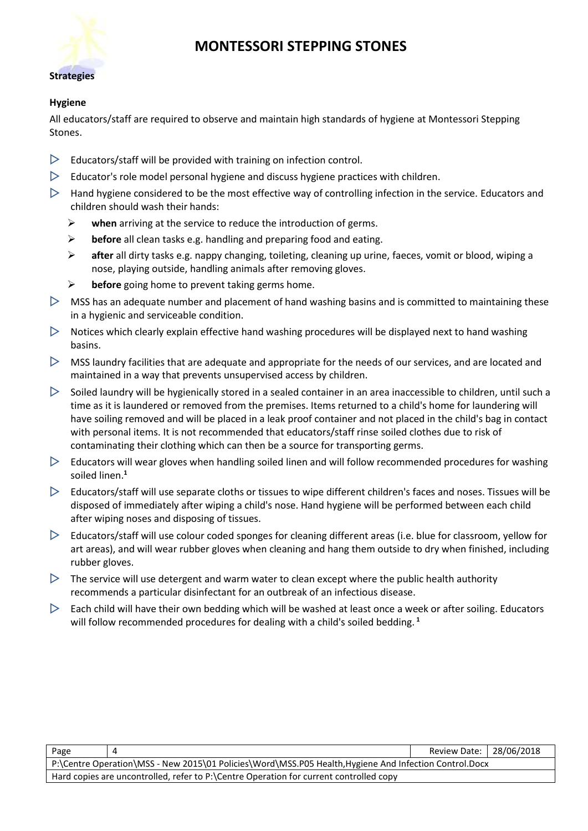

#### **Hygiene**

All educators/staff are required to observe and maintain high standards of hygiene at Montessori Stepping Stones.

- $\triangleright$  Educators/staff will be provided with training on infection control.
- $\triangleright$  Educator's role model personal hygiene and discuss hygiene practices with children.
- $\triangleright$  Hand hygiene considered to be the most effective way of controlling infection in the service. Educators and children should wash their hands:
	- ➢ **when** arriving at the service to reduce the introduction of germs.
	- ➢ **before** all clean tasks e.g. handling and preparing food and eating.
	- ➢ **after** all dirty tasks e.g. nappy changing, toileting, cleaning up urine, faeces, vomit or blood, wiping a nose, playing outside, handling animals after removing gloves.
	- ➢ **before** going home to prevent taking germs home.
- $\triangleright$  MSS has an adequate number and placement of hand washing basins and is committed to maintaining these in a hygienic and serviceable condition.
- $\triangleright$  Notices which clearly explain effective hand washing procedures will be displayed next to hand washing basins.
- $\triangleright$  MSS laundry facilities that are adequate and appropriate for the needs of our services, and are located and maintained in a way that prevents unsupervised access by children.
- $\triangleright$  Soiled laundry will be hygienically stored in a sealed container in an area inaccessible to children, until such a time as it is laundered or removed from the premises. Items returned to a child's home for laundering will have soiling removed and will be placed in a leak proof container and not placed in the child's bag in contact with personal items. It is not recommended that educators/staff rinse soiled clothes due to risk of contaminating their clothing which can then be a source for transporting germs.
- $\triangleright$  Educators will wear gloves when handling soiled linen and will follow recommended procedures for washing soiled linen.**<sup>1</sup>**
- $\triangleright$  Educators/staff will use separate cloths or tissues to wipe different children's faces and noses. Tissues will be disposed of immediately after wiping a child's nose. Hand hygiene will be performed between each child after wiping noses and disposing of tissues.
- $\triangleright$  Educators/staff will use colour coded sponges for cleaning different areas (i.e. blue for classroom, yellow for art areas), and will wear rubber gloves when cleaning and hang them outside to dry when finished, including rubber gloves.
- $\triangleright$  The service will use detergent and warm water to clean except where the public health authority recommends a particular disinfectant for an outbreak of an infectious disease.
- $\triangleright$  Each child will have their own bedding which will be washed at least once a week or after soiling. Educators will follow recommended procedures for dealing with a child's soiled bedding. **<sup>1</sup>**

| Page                                                                                                   |                                                                                        | Review Date:   28/06/2018 |  |  |  |
|--------------------------------------------------------------------------------------------------------|----------------------------------------------------------------------------------------|---------------------------|--|--|--|
| P:\Centre Operation\MSS - New 2015\01 Policies\Word\MSS.P05 Health, Hygiene And Infection Control.Docx |                                                                                        |                           |  |  |  |
|                                                                                                        | Hard copies are uncontrolled, refer to P:\Centre Operation for current controlled copy |                           |  |  |  |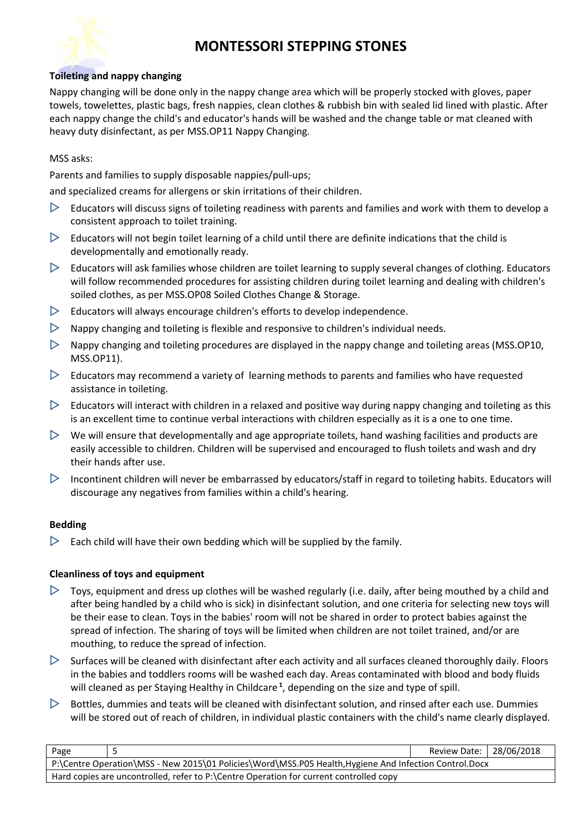#### **Toileting and nappy changing**

Nappy changing will be done only in the nappy change area which will be properly stocked with gloves, paper towels, towelettes, plastic bags, fresh nappies, clean clothes & rubbish bin with sealed lid lined with plastic. After each nappy change the child's and educator's hands will be washed and the change table or mat cleaned with heavy duty disinfectant, as per MSS.OP11 Nappy Changing.

MSS asks:

Parents and families to supply disposable nappies/pull-ups;

and specialized creams for allergens or skin irritations of their children.

- $\triangleright$  Educators will discuss signs of toileting readiness with parents and families and work with them to develop a consistent approach to toilet training.
- $\triangleright$  Educators will not begin toilet learning of a child until there are definite indications that the child is developmentally and emotionally ready.
- $\triangleright$  Educators will ask families whose children are toilet learning to supply several changes of clothing. Educators will follow recommended procedures for assisting children during toilet learning and dealing with children's soiled clothes, as per MSS.OP08 Soiled Clothes Change & Storage.
- $\triangleright$  Educators will always encourage children's efforts to develop independence.
- $\triangleright$  Nappy changing and toileting is flexible and responsive to children's individual needs.
- $\triangleright$  Nappy changing and toileting procedures are displayed in the nappy change and toileting areas (MSS.OP10, MSS.OP11).
- $\triangleright$  Educators may recommend a variety of learning methods to parents and families who have requested assistance in toileting.
- $\triangleright$  Educators will interact with children in a relaxed and positive way during nappy changing and toileting as this is an excellent time to continue verbal interactions with children especially as it is a one to one time.
- $\triangleright$  We will ensure that developmentally and age appropriate toilets, hand washing facilities and products are easily accessible to children. Children will be supervised and encouraged to flush toilets and wash and dry their hands after use.
- $\triangleright$  Incontinent children will never be embarrassed by educators/staff in regard to toileting habits. Educators will discourage any negatives from families within a child's hearing.

#### **Bedding**

 $\triangleright$  Each child will have their own bedding which will be supplied by the family.

#### **Cleanliness of toys and equipment**

- $\triangleright$  Toys, equipment and dress up clothes will be washed regularly (i.e. daily, after being mouthed by a child and after being handled by a child who is sick) in disinfectant solution, and one criteria for selecting new toys will be their ease to clean. Toys in the babies' room will not be shared in order to protect babies against the spread of infection. The sharing of toys will be limited when children are not toilet trained, and/or are mouthing, to reduce the spread of infection.
- $\triangleright$  Surfaces will be cleaned with disinfectant after each activity and all surfaces cleaned thoroughly daily. Floors in the babies and toddlers rooms will be washed each day. Areas contaminated with blood and body fluids will cleaned as per Staying Healthy in Childcare **<sup>1</sup>** , depending on the size and type of spill.
- $\triangleright$  Bottles, dummies and teats will be cleaned with disinfectant solution, and rinsed after each use. Dummies will be stored out of reach of children, in individual plastic containers with the child's name clearly displayed.

| Page                                                                                                   |  | Review Date:   28/06/2018 |  |  |
|--------------------------------------------------------------------------------------------------------|--|---------------------------|--|--|
| P:\Centre Operation\MSS - New 2015\01 Policies\Word\MSS.P05 Health, Hygiene And Infection Control.Docx |  |                           |  |  |
| Hard copies are uncontrolled, refer to P:\Centre Operation for current controlled copy                 |  |                           |  |  |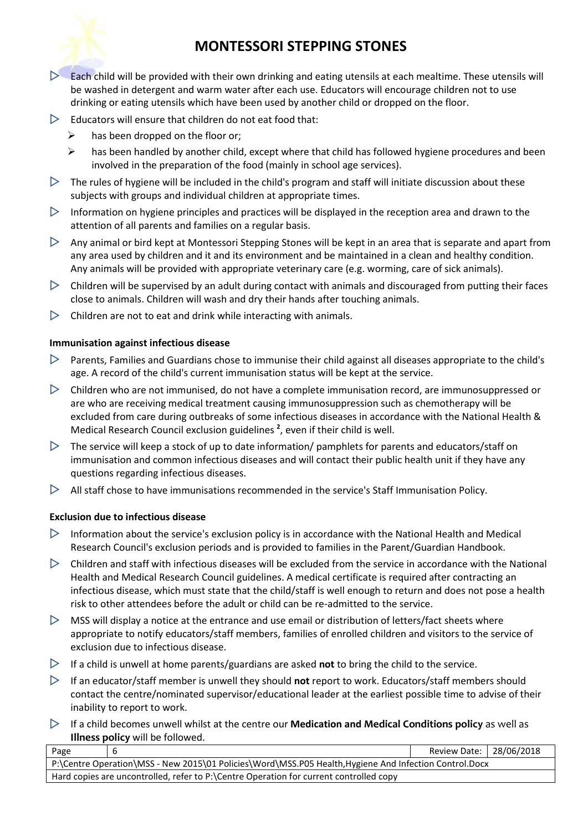

- $\triangleright$  Each child will be provided with their own drinking and eating utensils at each mealtime. These utensils will be washed in detergent and warm water after each use. Educators will encourage children not to use drinking or eating utensils which have been used by another child or dropped on the floor.
- $\triangleright$  Educators will ensure that children do not eat food that:
	- $\triangleright$  has been dropped on the floor or;
	- $\triangleright$  has been handled by another child, except where that child has followed hygiene procedures and been involved in the preparation of the food (mainly in school age services).
- $\triangleright$  The rules of hygiene will be included in the child's program and staff will initiate discussion about these subjects with groups and individual children at appropriate times.
- $\triangleright$  Information on hygiene principles and practices will be displayed in the reception area and drawn to the attention of all parents and families on a regular basis.
- $\triangleright$  Any animal or bird kept at Montessori Stepping Stones will be kept in an area that is separate and apart from any area used by children and it and its environment and be maintained in a clean and healthy condition. Any animals will be provided with appropriate veterinary care (e.g. worming, care of sick animals).
- $\triangleright$  Children will be supervised by an adult during contact with animals and discouraged from putting their faces close to animals. Children will wash and dry their hands after touching animals.
- $\triangleright$  Children are not to eat and drink while interacting with animals.

#### **Immunisation against infectious disease**

- $\triangleright$  Parents, Families and Guardians chose to immunise their child against all diseases appropriate to the child's age. A record of the child's current immunisation status will be kept at the service.
- $\triangleright$  Children who are not immunised, do not have a complete immunisation record, are immunosuppressed or are who are receiving medical treatment causing immunosuppression such as chemotherapy will be excluded from care during outbreaks of some infectious diseases in accordance with the National Health & Medical Research Council exclusion guidelines **<sup>2</sup>** , even if their child is well.
- $\triangleright$  The service will keep a stock of up to date information/ pamphlets for parents and educators/staff on immunisation and common infectious diseases and will contact their public health unit if they have any questions regarding infectious diseases.
- $\triangleright$  All staff chose to have immunisations recommended in the service's Staff Immunisation Policy.

#### **Exclusion due to infectious disease**

- $\triangleright$  Information about the service's exclusion policy is in accordance with the National Health and Medical Research Council's exclusion periods and is provided to families in the Parent/Guardian Handbook.
- $\triangleright$  Children and staff with infectious diseases will be excluded from the service in accordance with the National Health and Medical Research Council guidelines. A medical certificate is required after contracting an infectious disease, which must state that the child/staff is well enough to return and does not pose a health risk to other attendees before the adult or child can be re-admitted to the service.
- $\triangleright$  MSS will display a notice at the entrance and use email or distribution of letters/fact sheets where appropriate to notify educators/staff members, families of enrolled children and visitors to the service of exclusion due to infectious disease.
- $\triangleright$  If a child is unwell at home parents/guardians are asked **not** to bring the child to the service.
- If an educator/staff member is unwell they should **not** report to work. Educators/staff members should contact the centre/nominated supervisor/educational leader at the earliest possible time to advise of their inability to report to work.
- If a child becomes unwell whilst at the centre our **Medication and Medical Conditions policy** as well as **Illness policy** will be followed.

| Page                                                                                                  |  | Review Date:   28/06/2018 |  |  |
|-------------------------------------------------------------------------------------------------------|--|---------------------------|--|--|
| P:\Centre Operation\MSS - New 2015\01 Policies\Word\MSS.P05 Health,Hygiene And Infection Control.Docx |  |                           |  |  |
| Hard copies are uncontrolled, refer to P:\Centre Operation for current controlled copy                |  |                           |  |  |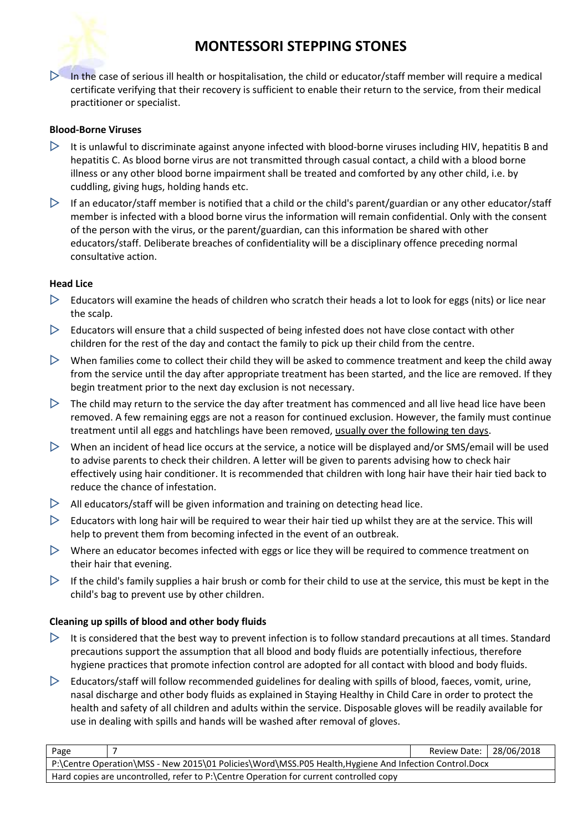

 $\triangleright$  In the case of serious ill health or hospitalisation, the child or educator/staff member will require a medical certificate verifying that their recovery is sufficient to enable their return to the service, from their medical practitioner or specialist.

#### **Blood-Borne Viruses**

- $\triangleright$  It is unlawful to discriminate against anyone infected with blood-borne viruses including HIV, hepatitis B and hepatitis C. As blood borne virus are not transmitted through casual contact, a child with a blood borne illness or any other blood borne impairment shall be treated and comforted by any other child, i.e. by cuddling, giving hugs, holding hands etc.
- $\triangleright$  If an educator/staff member is notified that a child or the child's parent/guardian or any other educator/staff member is infected with a blood borne virus the information will remain confidential. Only with the consent of the person with the virus, or the parent/guardian, can this information be shared with other educators/staff. Deliberate breaches of confidentiality will be a disciplinary offence preceding normal consultative action.

#### **Head Lice**

- $\triangleright$  Educators will examine the heads of children who scratch their heads a lot to look for eggs (nits) or lice near the scalp.
- $\triangleright$  Educators will ensure that a child suspected of being infested does not have close contact with other children for the rest of the day and contact the family to pick up their child from the centre.
- $\triangleright$  When families come to collect their child they will be asked to commence treatment and keep the child away from the service until the day after appropriate treatment has been started, and the lice are removed. If they begin treatment prior to the next day exclusion is not necessary.
- $\triangleright$  The child may return to the service the day after treatment has commenced and all live head lice have been removed. A few remaining eggs are not a reason for continued exclusion. However, the family must continue treatment until all eggs and hatchlings have been removed, usually over the following ten days.
- $\triangleright$  When an incident of head lice occurs at the service, a notice will be displayed and/or SMS/email will be used to advise parents to check their children. A letter will be given to parents advising how to check hair effectively using hair conditioner. It is recommended that children with long hair have their hair tied back to reduce the chance of infestation.
- $\triangleright$  All educators/staff will be given information and training on detecting head lice.
- $\triangleright$  Educators with long hair will be required to wear their hair tied up whilst they are at the service. This will help to prevent them from becoming infected in the event of an outbreak.
- $\triangleright$  Where an educator becomes infected with eggs or lice they will be required to commence treatment on their hair that evening.
- $\triangleright$  If the child's family supplies a hair brush or comb for their child to use at the service, this must be kept in the child's bag to prevent use by other children.

#### **Cleaning up spills of blood and other body fluids**

- $\triangleright$  It is considered that the best way to prevent infection is to follow standard precautions at all times. Standard precautions support the assumption that all blood and body fluids are potentially infectious, therefore hygiene practices that promote infection control are adopted for all contact with blood and body fluids.
- $\triangleright$  Educators/staff will follow recommended guidelines for dealing with spills of blood, faeces, vomit, urine, nasal discharge and other body fluids as explained in Staying Healthy in Child Care in order to protect the health and safety of all children and adults within the service. Disposable gloves will be readily available for use in dealing with spills and hands will be washed after removal of gloves.

| Page                                                                                                  |  | Review Date:   28/06/2018 |  |  |
|-------------------------------------------------------------------------------------------------------|--|---------------------------|--|--|
| P:\Centre Operation\MSS - New 2015\01 Policies\Word\MSS.P05 Health,Hygiene And Infection Control.Docx |  |                           |  |  |
| Hard copies are uncontrolled, refer to P:\Centre Operation for current controlled copy                |  |                           |  |  |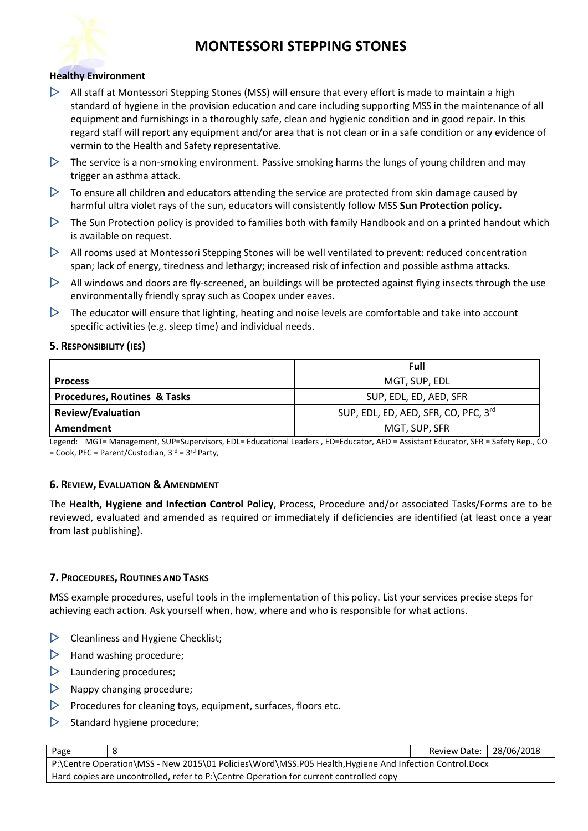

#### **Healthy Environment**

- $\triangleright$  All staff at Montessori Stepping Stones (MSS) will ensure that every effort is made to maintain a high standard of hygiene in the provision education and care including supporting MSS in the maintenance of all equipment and furnishings in a thoroughly safe, clean and hygienic condition and in good repair. In this regard staff will report any equipment and/or area that is not clean or in a safe condition or any evidence of vermin to the Health and Safety representative.
- $\triangleright$  The service is a non-smoking environment. Passive smoking harms the lungs of young children and may trigger an asthma attack.
- $\triangleright$  To ensure all children and educators attending the service are protected from skin damage caused by harmful ultra violet rays of the sun, educators will consistently follow MSS **Sun Protection policy.**
- $\triangleright$  The Sun Protection policy is provided to families both with family Handbook and on a printed handout which is available on request.
- $\triangleright$  All rooms used at Montessori Stepping Stones will be well ventilated to prevent: reduced concentration span; lack of energy, tiredness and lethargy; increased risk of infection and possible asthma attacks.
- $\triangleright$  All windows and doors are fly-screened, an buildings will be protected against flying insects through the use environmentally friendly spray such as Coopex under eaves.
- $\triangleright$  The educator will ensure that lighting, heating and noise levels are comfortable and take into account specific activities (e.g. sleep time) and individual needs.

#### **5. RESPONSIBILITY (IES)**

|                                         | Full                                 |  |
|-----------------------------------------|--------------------------------------|--|
| <b>Process</b>                          | MGT, SUP, EDL                        |  |
| <b>Procedures, Routines &amp; Tasks</b> | SUP, EDL, ED, AED, SFR               |  |
| <b>Review/Evaluation</b>                | SUP, EDL, ED, AED, SFR, CO, PFC, 3rd |  |
| Amendment                               | MGT, SUP, SFR                        |  |

Legend: MGT= Management, SUP=Supervisors, EDL= Educational Leaders , ED=Educator, AED = Assistant Educator, SFR = Safety Rep., CO = Cook, PFC = Parent/Custodian, 3 rd = 3rd Party,

#### **6. REVIEW, EVALUATION & AMENDMENT**

The **Health, Hygiene and Infection Control Policy**, Process, Procedure and/or associated Tasks/Forms are to be reviewed, evaluated and amended as required or immediately if deficiencies are identified (at least once a year from last publishing).

#### **7. PROCEDURES, ROUTINES AND TASKS**

MSS example procedures, useful tools in the implementation of this policy. List your services precise steps for achieving each action. Ask yourself when, how, where and who is responsible for what actions.

- $\triangleright$  Cleanliness and Hygiene Checklist;
- $\triangleright$  Hand washing procedure;
- $\triangleright$  Laundering procedures;
- $\triangleright$  Nappy changing procedure;
- $\triangleright$  Procedures for cleaning toys, equipment, surfaces, floors etc.
- $\triangleright$  Standard hygiene procedure;

| Page                                                                                                  |  | Review Date:   28/06/2018 |  |  |
|-------------------------------------------------------------------------------------------------------|--|---------------------------|--|--|
| P:\Centre Operation\MSS - New 2015\01 Policies\Word\MSS.P05 Health,Hygiene And Infection Control.Docx |  |                           |  |  |
| Hard copies are uncontrolled, refer to P:\Centre Operation for current controlled copy                |  |                           |  |  |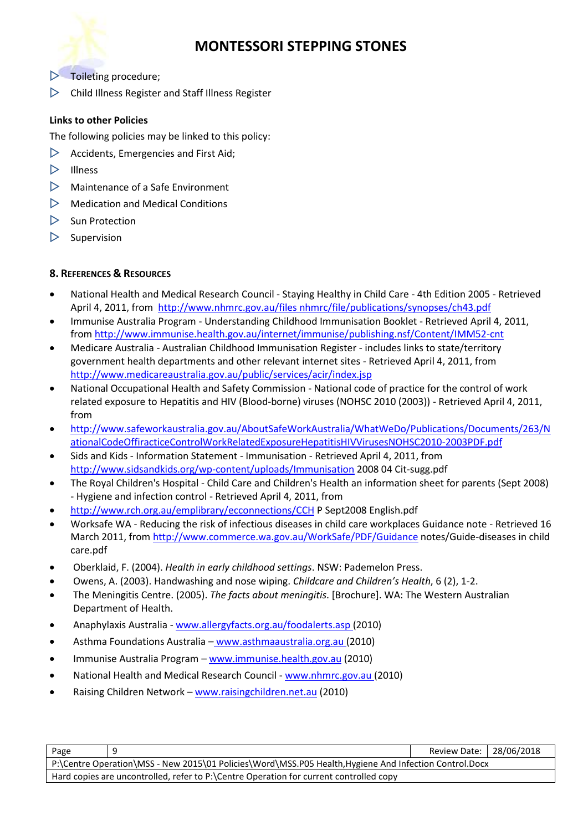

- $\triangleright$  Toileting procedure;
- $\triangleright$  Child Illness Register and Staff Illness Register

### **Links to other Policies**

- The following policies may be linked to this policy:
- $\triangleright$  Accidents, Emergencies and First Aid;
- $\triangleright$  Illness
- $\triangleright$  Maintenance of a Safe Environment
- $\triangleright$  Medication and Medical Conditions
- $\triangleright$  Sun Protection
- $\triangleright$  Supervision

### **8. REFERENCES & RESOURCES**

- National Health and Medical Research Council Staying Healthy in Child Care 4th Edition 2005 Retrieved April 4, 2011, from [http://www.nhmrc.gov.au/files nhmrc/file/publications/synopses/ch43.pdf](http://www.nhmrc.gov.au/files%20nhmrc/file/publications/synopses/ch43.pdf)
- Immunise Australia Program Understanding Childhood Immunisation Booklet Retrieved April 4, 2011, from<http://www.immunise.health.gov.au/internet/immunise/publishing.nsf/Content/IMM52-cnt>
- Medicare Australia Australian Childhood Immunisation Register includes links to state/territory government health departments and other relevant internet sites - Retrieved April 4, 2011, from <http://www.medicareaustralia.gov.au/public/services/acir/index.jsp>
- National Occupational Health and Safety Commission National code of practice for the control of work related exposure to Hepatitis and HIV (Blood-borne) viruses (NOHSC 2010 (2003)) - Retrieved April 4, 2011, from
- [http://www.safeworkaustralia.gov.au/AboutSafeWorkAustralia/WhatWeDo/Publications/Documents/263/N](http://www.safeworkaustralia.gov.au/AboutSafeWorkAustralia/WhatWeDo/Publications/Documents/263/NationalCodeOffiracticeControlWorkRelatedExposureHepatitisHIVVirusesNOHSC2010-2003PDF.pdf) [ationalCodeOffiracticeControlWorkRelatedExposureHepatitisHIVVirusesNOHSC2010-2003PDF.pdf](http://www.safeworkaustralia.gov.au/AboutSafeWorkAustralia/WhatWeDo/Publications/Documents/263/NationalCodeOffiracticeControlWorkRelatedExposureHepatitisHIVVirusesNOHSC2010-2003PDF.pdf)
- Sids and Kids Information Statement Immunisation Retrieved April 4, 2011, from <http://www.sidsandkids.org/wp-content/uploads/Immunisation> 2008 04 Cit-sugg.pdf
- The Royal Children's Hospital Child Care and Children's Health an information sheet for parents (Sept 2008) - Hygiene and infection control - Retrieved April 4, 2011, from
- <http://www.rch.org.au/emplibrary/ecconnections/CCH> P Sept2008 English.pdf
- Worksafe WA Reducing the risk of infectious diseases in child care workplaces Guidance note Retrieved 16 March 2011, fro[m http://www.commerce.wa.gov.au/WorkSafe/PDF/Guidance](http://www.commerce.wa.gov.au/WorkSafe/PDF/Guidance) notes/Guide-diseases in child care.pdf
- Oberklaid, F. (2004). *Health in early childhood settings*. NSW: Pademelon Press.
- Owens, A. (2003). Handwashing and nose wiping. *Childcare and Children's Health*, 6 (2), 1-2.
- The Meningitis Centre. (2005). *The facts about meningitis*. [Brochure]. WA: The Western Australian Department of Health.
- Anaphylaxis Australia [www.allergyfacts.org.au/foodalerts.asp](http://www.allergyfacts.org.au/foodalerts.asp) (2010)
- Asthma Foundations Australia [www.asthmaaustralia.org.au](http://www.asthmaaustralia.org.au/) (2010)
- Immunise Australia Program [www.immunise.health.gov.au](http://www.immunise.health.gov.au/) (2010)
- National Health and Medical Research Council [www.nhmrc.gov.au](http://www.nhmrc.gov.au/) (2010)
- Raising Children Network [www.raisingchildren.net.au](http://www.raisingchildren.net.au/) (2010)

| Page                                                                                                   |  | Review Date:   28/06/2018 |  |  |
|--------------------------------------------------------------------------------------------------------|--|---------------------------|--|--|
| P:\Centre Operation\MSS - New 2015\01 Policies\Word\MSS.P05 Health, Hygiene And Infection Control.Docx |  |                           |  |  |
| Hard copies are uncontrolled, refer to P:\Centre Operation for current controlled copy                 |  |                           |  |  |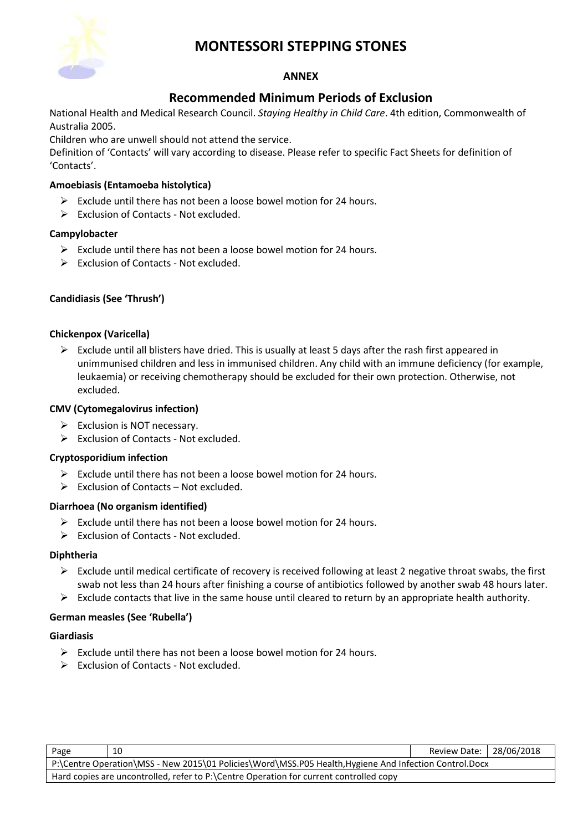

#### **ANNEX**

## **Recommended Minimum Periods of Exclusion**

National Health and Medical Research Council. *Staying Healthy in Child Care*. 4th edition, Commonwealth of Australia 2005.

Children who are unwell should not attend the service.

Definition of 'Contacts' will vary according to disease. Please refer to specific Fact Sheets for definition of 'Contacts'.

#### **Amoebiasis (Entamoeba histolytica)**

- $\triangleright$  Exclude until there has not been a loose bowel motion for 24 hours.
- ➢ Exclusion of Contacts Not excluded.

#### **Campylobacter**

- $\triangleright$  Exclude until there has not been a loose bowel motion for 24 hours.
- ➢ Exclusion of Contacts Not excluded.

#### **Candidiasis (See 'Thrush')**

#### **Chickenpox (Varicella)**

➢ Exclude until all blisters have dried. This is usually at least 5 days after the rash first appeared in unimmunised children and less in immunised children. Any child with an immune deficiency (for example, leukaemia) or receiving chemotherapy should be excluded for their own protection. Otherwise, not excluded.

#### **CMV (Cytomegalovirus infection)**

- $\triangleright$  Exclusion is NOT necessary.
- ➢ Exclusion of Contacts Not excluded.

#### **Cryptosporidium infection**

- $\triangleright$  Exclude until there has not been a loose bowel motion for 24 hours.
- $\triangleright$  Exclusion of Contacts Not excluded.

#### **Diarrhoea (No organism identified)**

- $\triangleright$  Exclude until there has not been a loose bowel motion for 24 hours.
- ➢ Exclusion of Contacts Not excluded.

#### **Diphtheria**

- $\triangleright$  Exclude until medical certificate of recovery is received following at least 2 negative throat swabs, the first swab not less than 24 hours after finishing a course of antibiotics followed by another swab 48 hours later.
- $\triangleright$  Exclude contacts that live in the same house until cleared to return by an appropriate health authority.

#### **German measles (See 'Rubella')**

#### **Giardiasis**

- $\triangleright$  Exclude until there has not been a loose bowel motion for 24 hours.
- ➢ Exclusion of Contacts Not excluded.

| Page                                                                                                   | 10 | Review Date: 28/06/2018 |  |
|--------------------------------------------------------------------------------------------------------|----|-------------------------|--|
| P:\Centre Operation\MSS - New 2015\01 Policies\Word\MSS.P05 Health, Hygiene And Infection Control.Docx |    |                         |  |
| Hard copies are uncontrolled, refer to P:\Centre Operation for current controlled copy                 |    |                         |  |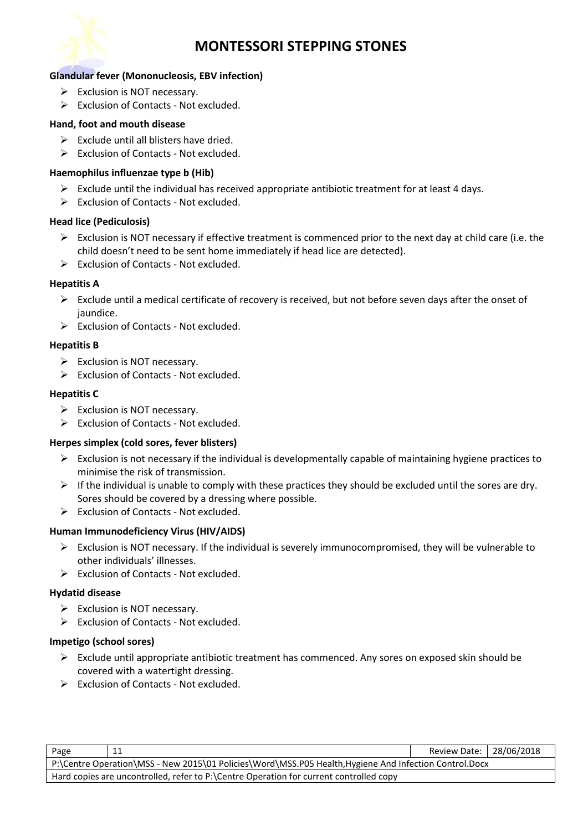

#### **Glandular fever (Mononucleosis, EBV infection)**

- ➢ Exclusion is NOT necessary.
- ➢ Exclusion of Contacts Not excluded.

#### **Hand, foot and mouth disease**

- $\triangleright$  Exclude until all blisters have dried.
- $\triangleright$  Exclusion of Contacts Not excluded.

#### **Haemophilus influenzae type b (Hib)**

- $\triangleright$  Exclude until the individual has received appropriate antibiotic treatment for at least 4 days.
- ➢ Exclusion of Contacts Not excluded.

#### **Head lice (Pediculosis)**

- ➢ Exclusion is NOT necessary if effective treatment is commenced prior to the next day at child care (i.e. the child doesn't need to be sent home immediately if head lice are detected).
- ➢ Exclusion of Contacts Not excluded.

#### **Hepatitis A**

- $\triangleright$  Exclude until a medical certificate of recovery is received, but not before seven days after the onset of jaundice.
- ➢ Exclusion of Contacts Not excluded.

#### **Hepatitis B**

- ➢ Exclusion is NOT necessary.
- ➢ Exclusion of Contacts Not excluded.

#### **Hepatitis C**

- ➢ Exclusion is NOT necessary.
- ➢ Exclusion of Contacts Not excluded.

#### **Herpes simplex (cold sores, fever blisters)**

- $\triangleright$  Exclusion is not necessary if the individual is developmentally capable of maintaining hygiene practices to minimise the risk of transmission.
- $\triangleright$  If the individual is unable to comply with these practices they should be excluded until the sores are dry. Sores should be covered by a dressing where possible.
- ➢ Exclusion of Contacts Not excluded.

#### **Human Immunodeficiency Virus (HIV/AIDS)**

- ➢ Exclusion is NOT necessary. If the individual is severely immunocompromised, they will be vulnerable to other individuals' illnesses.
- ➢ Exclusion of Contacts Not excluded.

#### **Hydatid disease**

- ➢ Exclusion is NOT necessary.
- ➢ Exclusion of Contacts Not excluded.

#### **Impetigo (school sores)**

- $\triangleright$  Exclude until appropriate antibiotic treatment has commenced. Any sores on exposed skin should be covered with a watertight dressing.
- ➢ Exclusion of Contacts Not excluded.

| Page                                                                                                   | -11 | Review Date:   28/06/2018 |  |
|--------------------------------------------------------------------------------------------------------|-----|---------------------------|--|
| P:\Centre Operation\MSS - New 2015\01 Policies\Word\MSS.P05 Health, Hygiene And Infection Control.Docx |     |                           |  |
| Hard copies are uncontrolled, refer to P:\Centre Operation for current controlled copy                 |     |                           |  |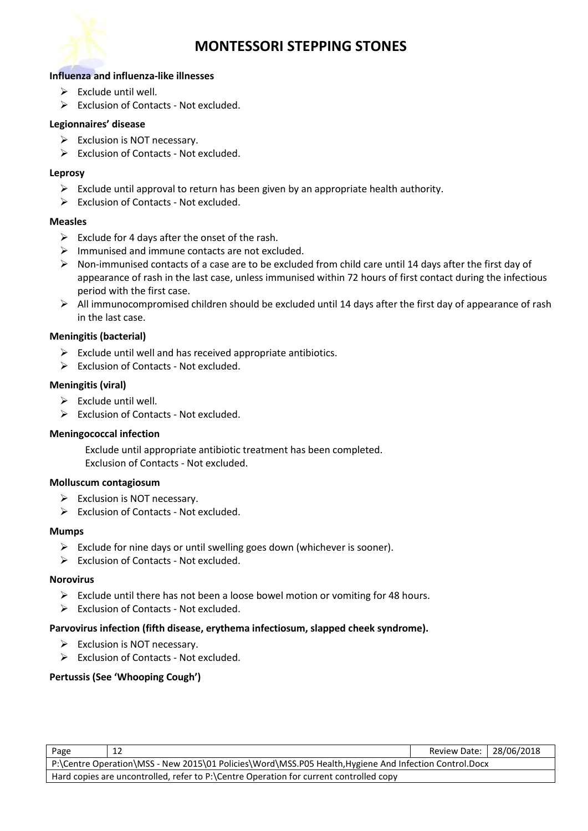

#### **Influenza and influenza-like illnesses**

- $\triangleright$  Exclude until well.
- ➢ Exclusion of Contacts Not excluded.

#### **Legionnaires' disease**

- $\triangleright$  Exclusion is NOT necessary.
- ➢ Exclusion of Contacts Not excluded.

#### **Leprosy**

- $\triangleright$  Exclude until approval to return has been given by an appropriate health authority.
- ➢ Exclusion of Contacts Not excluded.

#### **Measles**

- $\triangleright$  Exclude for 4 days after the onset of the rash.
- $\triangleright$  Immunised and immune contacts are not excluded.
- ➢ Non-immunised contacts of a case are to be excluded from child care until 14 days after the first day of appearance of rash in the last case, unless immunised within 72 hours of first contact during the infectious period with the first case.
- ➢ All immunocompromised children should be excluded until 14 days after the first day of appearance of rash in the last case.

#### **Meningitis (bacterial)**

- $\triangleright$  Exclude until well and has received appropriate antibiotics.
- ➢ Exclusion of Contacts Not excluded.

#### **Meningitis (viral)**

- $\triangleright$  Exclude until well.
- ➢ Exclusion of Contacts Not excluded.

#### **Meningococcal infection**

Exclude until appropriate antibiotic treatment has been completed. Exclusion of Contacts - Not excluded.

#### **Molluscum contagiosum**

- $\triangleright$  Exclusion is NOT necessary.
- ➢ Exclusion of Contacts Not excluded.

#### **Mumps**

- ➢ Exclude for nine days or until swelling goes down (whichever is sooner).
- ➢ Exclusion of Contacts Not excluded.

#### **Norovirus**

- ➢ Exclude until there has not been a loose bowel motion or vomiting for 48 hours.
- ➢ Exclusion of Contacts Not excluded.

#### **Parvovirus infection (fifth disease, erythema infectiosum, slapped cheek syndrome).**

- $\triangleright$  Exclusion is NOT necessary.
- ➢ Exclusion of Contacts Not excluded.

#### **Pertussis (See 'Whooping Cough')**

| Page                                                                                                   | 12 | Review Date:   28/06/2018 |  |
|--------------------------------------------------------------------------------------------------------|----|---------------------------|--|
| P:\Centre Operation\MSS - New 2015\01 Policies\Word\MSS.P05 Health, Hygiene And Infection Control.Docx |    |                           |  |
| Hard copies are uncontrolled, refer to P:\Centre Operation for current controlled copy                 |    |                           |  |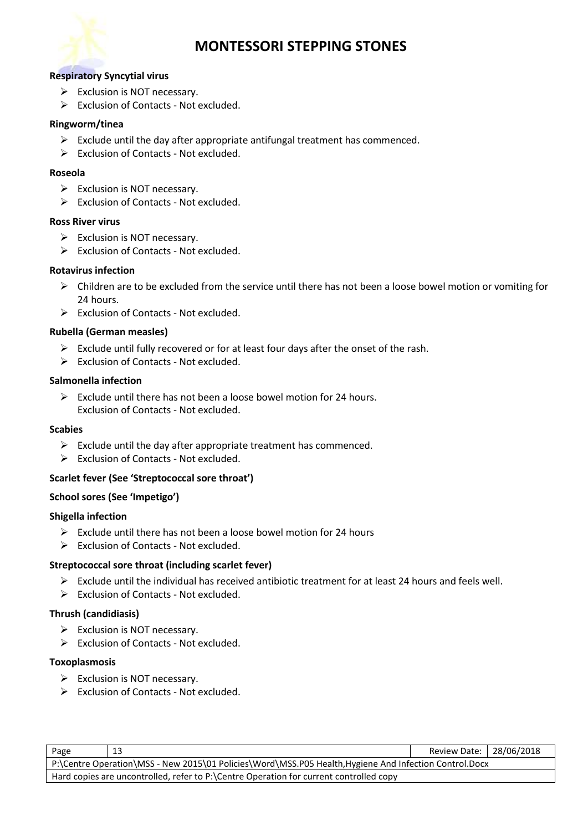

#### **Respiratory Syncytial virus**

- ➢ Exclusion is NOT necessary.
- ➢ Exclusion of Contacts Not excluded.

#### **Ringworm/tinea**

- $\triangleright$  Exclude until the day after appropriate antifungal treatment has commenced.
- ➢ Exclusion of Contacts Not excluded.

#### **Roseola**

- ➢ Exclusion is NOT necessary.
- ➢ Exclusion of Contacts Not excluded.

#### **Ross River virus**

- $\triangleright$  Exclusion is NOT necessary.
- ➢ Exclusion of Contacts Not excluded.

#### **Rotavirus infection**

- ➢ Children are to be excluded from the service until there has not been a loose bowel motion or vomiting for 24 hours.
- ➢ Exclusion of Contacts Not excluded.

#### **Rubella (German measles)**

- $\triangleright$  Exclude until fully recovered or for at least four days after the onset of the rash.
- ➢ Exclusion of Contacts Not excluded.

#### **Salmonella infection**

 $\triangleright$  Exclude until there has not been a loose bowel motion for 24 hours. Exclusion of Contacts - Not excluded.

#### **Scabies**

- $\triangleright$  Exclude until the day after appropriate treatment has commenced.
- ➢ Exclusion of Contacts Not excluded.

#### **Scarlet fever (See 'Streptococcal sore throat')**

#### **School sores (See 'Impetigo')**

#### **Shigella infection**

- $\triangleright$  Exclude until there has not been a loose bowel motion for 24 hours
- ➢ Exclusion of Contacts Not excluded.

#### **Streptococcal sore throat (including scarlet fever)**

- $\triangleright$  Exclude until the individual has received antibiotic treatment for at least 24 hours and feels well.
- ➢ Exclusion of Contacts Not excluded.

#### **Thrush (candidiasis)**

- ➢ Exclusion is NOT necessary.
- ➢ Exclusion of Contacts Not excluded.

#### **Toxoplasmosis**

- ➢ Exclusion is NOT necessary.
- ➢ Exclusion of Contacts Not excluded.

| Page                                                                                                  | 13 | Review Date:   28/06/2018 |  |
|-------------------------------------------------------------------------------------------------------|----|---------------------------|--|
| P:\Centre Operation\MSS - New 2015\01 Policies\Word\MSS.P05 Health,Hygiene And Infection Control.Docx |    |                           |  |
| Hard copies are uncontrolled, refer to P:\Centre Operation for current controlled copy                |    |                           |  |